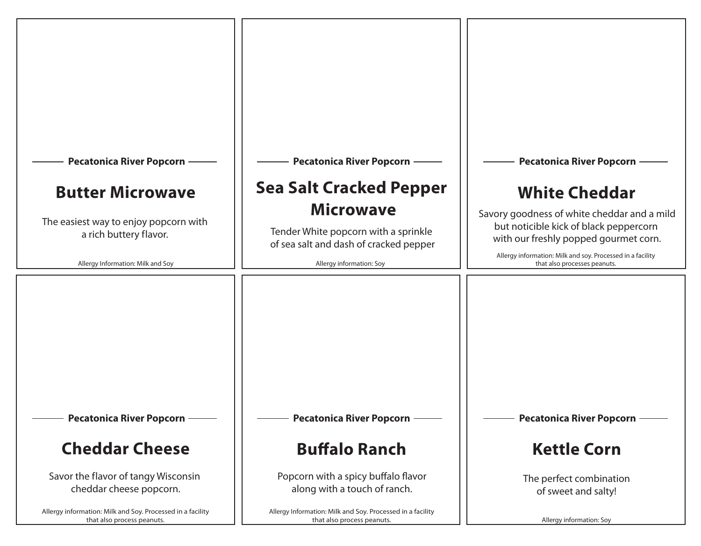| <b>Pecatonica River Popcorn</b><br><b>Butter Microwave</b><br>The easiest way to enjoy popcorn with<br>a rich buttery flavor.<br>Allergy Information: Milk and Soy                                                     | <b>Pecatonica River Popcorn</b><br><b>Sea Salt Cracked Pepper</b><br><b>Microwave</b><br>Tender White popcorn with a sprinkle<br>of sea salt and dash of cracked pepper<br>Allergy information: Soy                        | <b>Pecatonica River Popcorn</b><br><b>White Cheddar</b><br>Savory goodness of white cheddar and a mild<br>but noticible kick of black peppercorn<br>with our freshly popped gourmet corn.<br>Allergy information: Milk and soy. Processed in a facility<br>that also processes peanuts. |
|------------------------------------------------------------------------------------------------------------------------------------------------------------------------------------------------------------------------|----------------------------------------------------------------------------------------------------------------------------------------------------------------------------------------------------------------------------|-----------------------------------------------------------------------------------------------------------------------------------------------------------------------------------------------------------------------------------------------------------------------------------------|
| <b>Pecatonica River Popcorn</b><br><b>Cheddar Cheese</b><br>Savor the flavor of tangy Wisconsin<br>cheddar cheese popcorn.<br>Allergy information: Milk and Soy. Processed in a facility<br>that also process peanuts. | <b>Pecatonica River Popcorn</b><br><b>Buffalo Ranch</b><br>Popcorn with a spicy buffalo flavor<br>along with a touch of ranch.<br>Allergy Information: Milk and Soy. Processed in a facility<br>that also process peanuts. | <b>Pecatonica River Popcorn</b><br><b>Kettle Corn</b><br>The perfect combination<br>of sweet and salty!<br>Allergy information: Soy                                                                                                                                                     |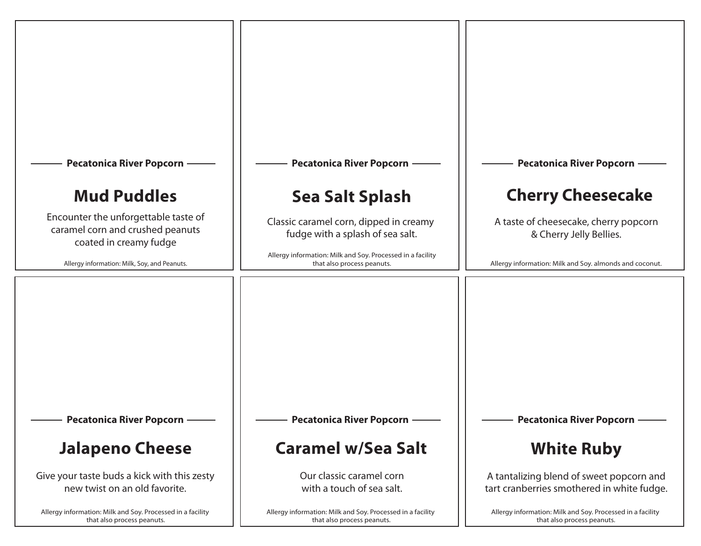| <b>Pecatonica River Popcorn</b><br><b>Mud Puddles</b><br>Encounter the unforgettable taste of<br>caramel corn and crushed peanuts<br>coated in creamy fudge<br>Allergy information: Milk, Soy, and Peanuts. | <b>Pecatonica River Popcorn</b><br><b>Sea Salt Splash</b><br>Classic caramel corn, dipped in creamy<br>fudge with a splash of sea salt.<br>Allergy information: Milk and Soy. Processed in a facility<br>that also process peanuts. | <b>Pecatonica River Popcorn</b><br><b>Cherry Cheesecake</b><br>A taste of cheesecake, cherry popcorn<br>& Cherry Jelly Bellies.<br>Allergy information: Milk and Soy. almonds and coconut. |
|-------------------------------------------------------------------------------------------------------------------------------------------------------------------------------------------------------------|-------------------------------------------------------------------------------------------------------------------------------------------------------------------------------------------------------------------------------------|--------------------------------------------------------------------------------------------------------------------------------------------------------------------------------------------|
| <b>Pecatonica River Popcorn</b>                                                                                                                                                                             | <b>Pecatonica River Popcorn</b>                                                                                                                                                                                                     | <b>Pecatonica River Popcorn</b>                                                                                                                                                            |
| <b>Jalapeno Cheese</b>                                                                                                                                                                                      | <b>Caramel w/Sea Salt</b>                                                                                                                                                                                                           | <b>White Ruby</b>                                                                                                                                                                          |
| Give your taste buds a kick with this zesty                                                                                                                                                                 | Our classic caramel corn                                                                                                                                                                                                            | A tantalizing blend of sweet popcorn and                                                                                                                                                   |
| new twist on an old favorite.                                                                                                                                                                               | with a touch of sea salt.                                                                                                                                                                                                           | tart cranberries smothered in white fudge.                                                                                                                                                 |
| Allergy information: Milk and Soy. Processed in a facility                                                                                                                                                  | Allergy information: Milk and Soy. Processed in a facility                                                                                                                                                                          | Allergy information: Milk and Soy. Processed in a facility                                                                                                                                 |
| that also process peanuts.                                                                                                                                                                                  | that also process peanuts.                                                                                                                                                                                                          | that also process peanuts.                                                                                                                                                                 |